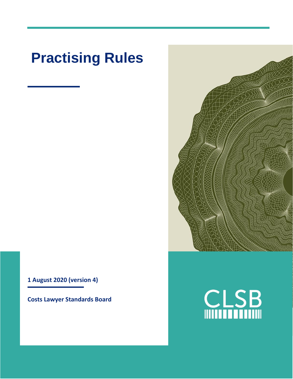# **Practising Rules**

**1 August 2020 (version 4)**

**Costs Lawyer Standards Board**



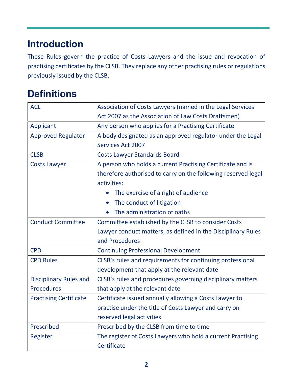# **Introduction**

These Rules govern the practice of Costs Lawyers and the issue and revocation of practising certificates by the CLSB. They replace any other practising rules or regulations previously issued by the CLSB.

#### **Definitions**

| <b>ACL</b>                    | Association of Costs Lawyers (named in the Legal Services     |
|-------------------------------|---------------------------------------------------------------|
|                               | Act 2007 as the Association of Law Costs Draftsmen)           |
| Applicant                     | Any person who applies for a Practising Certificate           |
| <b>Approved Regulator</b>     | A body designated as an approved regulator under the Legal    |
|                               | <b>Services Act 2007</b>                                      |
| <b>CLSB</b>                   | <b>Costs Lawyer Standards Board</b>                           |
| <b>Costs Lawyer</b>           | A person who holds a current Practising Certificate and is    |
|                               | therefore authorised to carry on the following reserved legal |
|                               | activities:                                                   |
|                               | The exercise of a right of audience                           |
|                               | The conduct of litigation                                     |
|                               | The administration of oaths                                   |
| <b>Conduct Committee</b>      | Committee established by the CLSB to consider Costs           |
|                               | Lawyer conduct matters, as defined in the Disciplinary Rules  |
|                               | and Procedures                                                |
| <b>CPD</b>                    | <b>Continuing Professional Development</b>                    |
| <b>CPD Rules</b>              | CLSB's rules and requirements for continuing professional     |
|                               | development that apply at the relevant date                   |
| <b>Disciplinary Rules and</b> | CLSB's rules and procedures governing disciplinary matters    |
| <b>Procedures</b>             | that apply at the relevant date                               |
| <b>Practising Certificate</b> | Certificate issued annually allowing a Costs Lawyer to        |
|                               | practise under the title of Costs Lawyer and carry on         |
|                               | reserved legal activities                                     |
| Prescribed                    | Prescribed by the CLSB from time to time                      |
| Register                      | The register of Costs Lawyers who hold a current Practising   |
|                               | Certificate                                                   |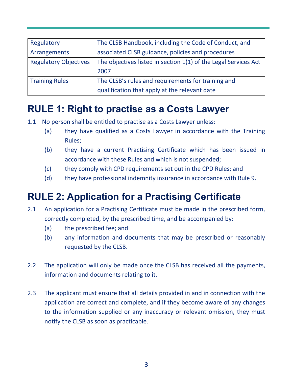| Regulatory                   | The CLSB Handbook, including the Code of Conduct, and           |
|------------------------------|-----------------------------------------------------------------|
| Arrangements                 | associated CLSB guidance, policies and procedures               |
| <b>Regulatory Objectives</b> | The objectives listed in section 1(1) of the Legal Services Act |
|                              | 2007                                                            |
| <b>Training Rules</b>        | The CLSB's rules and requirements for training and              |
|                              | qualification that apply at the relevant date                   |

# **RULE 1: Right to practise as a Costs Lawyer**

- 1.1 No person shall be entitled to practise as a Costs Lawyer unless:
	- (a) they have qualified as a Costs Lawyer in accordance with the Training Rules;
	- (b) they have a current Practising Certificate which has been issued in accordance with these Rules and which is not suspended;
	- (c) they comply with CPD requirements set out in the CPD Rules; and
	- (d) they have professional indemnity insurance in accordance with Rule 9.

# **RULE 2: Application for a Practising Certificate**

- 2.1 An application for a Practising Certificate must be made in the prescribed form, correctly completed, by the prescribed time, and be accompanied by:
	- (a) the prescribed fee; and
	- (b) any information and documents that may be prescribed or reasonably requested by the CLSB.
- 2.2 The application will only be made once the CLSB has received all the payments, information and documents relating to it.
- 2.3 The applicant must ensure that all details provided in and in connection with the application are correct and complete, and if they become aware of any changes to the information supplied or any inaccuracy or relevant omission, they must notify the CLSB as soon as practicable.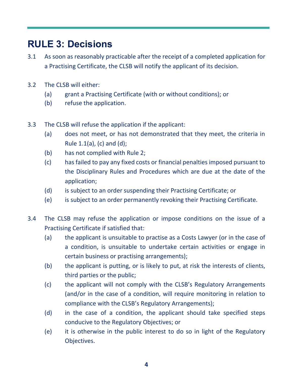#### **RULE 3: Decisions**

- 3.1 As soon as reasonably practicable after the receipt of a completed application for a Practising Certificate, the CLSB will notify the applicant of its decision.
- 3.2 The CLSB will either:
	- (a) grant a Practising Certificate (with or without conditions); or
	- (b) refuse the application.
- 3.3 The CLSB will refuse the application if the applicant:
	- (a) does not meet, or has not demonstrated that they meet, the criteria in Rule  $1.1(a)$ , (c) and (d);
	- (b) has not complied with Rule 2;
	- (c) has failed to pay any fixed costs or financial penalties imposed pursuant to the Disciplinary Rules and Procedures which are due at the date of the application;
	- (d) is subject to an order suspending their Practising Certificate; or
	- (e) is subject to an order permanently revoking their Practising Certificate.
- 3.4 The CLSB may refuse the application or impose conditions on the issue of a Practising Certificate if satisfied that:
	- (a) the applicant is unsuitable to practise as a Costs Lawyer (or in the case of a condition, is unsuitable to undertake certain activities or engage in certain business or practising arrangements);
	- (b) the applicant is putting, or is likely to put, at risk the interests of clients, third parties or the public;
	- (c) the applicant will not comply with the CLSB's Regulatory Arrangements (and/or in the case of a condition, will require monitoring in relation to compliance with the CLSB's Regulatory Arrangements);
	- (d) in the case of a condition, the applicant should take specified steps conducive to the Regulatory Objectives; or
	- (e) it is otherwise in the public interest to do so in light of the Regulatory Objectives.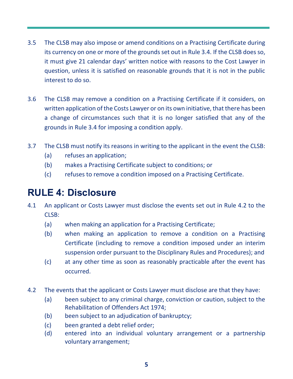- 3.5 The CLSB may also impose or amend conditions on a Practising Certificate during its currency on one or more of the grounds set out in Rule 3.4. If the CLSB does so, it must give 21 calendar days' written notice with reasons to the Cost Lawyer in question, unless it is satisfied on reasonable grounds that it is not in the public interest to do so.
- 3.6 The CLSB may remove a condition on a Practising Certificate if it considers, on written application of the Costs Lawyer or on its own initiative, that there has been a change of circumstances such that it is no longer satisfied that any of the grounds in Rule 3.4 for imposing a condition apply.
- 3.7 The CLSB must notify its reasons in writing to the applicant in the event the CLSB:
	- (a) refuses an application;
	- (b) makes a Practising Certificate subject to conditions; or
	- (c) refuses to remove a condition imposed on a Practising Certificate.

#### **RULE 4: Disclosure**

- 4.1 An applicant or Costs Lawyer must disclose the events set out in Rule 4.2 to the CLSB:
	- (a) when making an application for a Practising Certificate;
	- (b) when making an application to remove a condition on a Practising Certificate (including to remove a condition imposed under an interim suspension order pursuant to the Disciplinary Rules and Procedures); and
	- (c) at any other time as soon as reasonably practicable after the event has occurred.
- 4.2 The events that the applicant or Costs Lawyer must disclose are that they have:
	- (a) been subject to any criminal charge, conviction or caution, subject to the Rehabilitation of Offenders Act 1974;
	- (b) been subject to an adjudication of bankruptcy;
	- (c) been granted a debt relief order;
	- (d) entered into an individual voluntary arrangement or a partnership voluntary arrangement;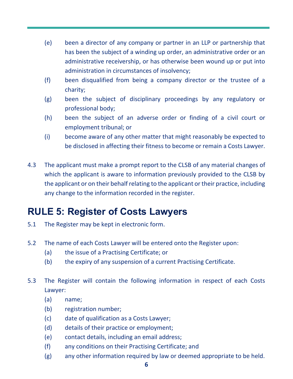- (e) been a director of any company or partner in an LLP or partnership that has been the subject of a winding up order, an administrative order or an administrative receivership, or has otherwise been wound up or put into administration in circumstances of insolvency;
- (f) been disqualified from being a company director or the trustee of a charity;
- (g) been the subject of disciplinary proceedings by any regulatory or professional body;
- (h) been the subject of an adverse order or finding of a civil court or employment tribunal; or
- (i) become aware of any other matter that might reasonably be expected to be disclosed in affecting their fitness to become or remain a Costs Lawyer.
- 4.3 The applicant must make a prompt report to the CLSB of any material changes of which the applicant is aware to information previously provided to the CLSB by the applicant or on their behalf relating to the applicant or their practice, including any change to the information recorded in the register.

# **RULE 5: Register of Costs Lawyers**

- 5.1 The Register may be kept in electronic form.
- 5.2 The name of each Costs Lawyer will be entered onto the Register upon:
	- (a) the issue of a Practising Certificate; or
	- (b) the expiry of any suspension of a current Practising Certificate.
- 5.3 The Register will contain the following information in respect of each Costs Lawyer:
	- (a) name;
	- (b) registration number;
	- (c) date of qualification as a Costs Lawyer;
	- (d) details of their practice or employment;
	- (e) contact details, including an email address;
	- (f) any conditions on their Practising Certificate; and
	- (g) any other information required by law or deemed appropriate to be held.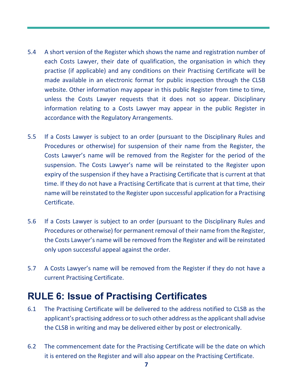- 5.4 A short version of the Register which shows the name and registration number of each Costs Lawyer, their date of qualification, the organisation in which they practise (if applicable) and any conditions on their Practising Certificate will be made available in an electronic format for public inspection through the CLSB website. Other information may appear in this public Register from time to time, unless the Costs Lawyer requests that it does not so appear. Disciplinary information relating to a Costs Lawyer may appear in the public Register in accordance with the Regulatory Arrangements.
- 5.5 If a Costs Lawyer is subject to an order (pursuant to the Disciplinary Rules and Procedures or otherwise) for suspension of their name from the Register, the Costs Lawyer's name will be removed from the Register for the period of the suspension. The Costs Lawyer's name will be reinstated to the Register upon expiry of the suspension if they have a Practising Certificate that is current at that time. If they do not have a Practising Certificate that is current at that time, their name will be reinstated to the Register upon successful application for a Practising Certificate.
- 5.6 If a Costs Lawyer is subject to an order (pursuant to the Disciplinary Rules and Procedures or otherwise) for permanent removal of their name from the Register, the Costs Lawyer's name will be removed from the Register and will be reinstated only upon successful appeal against the order.
- 5.7 A Costs Lawyer's name will be removed from the Register if they do not have a current Practising Certificate.

#### **RULE 6: Issue of Practising Certificates**

- 6.1 The Practising Certificate will be delivered to the address notified to CLSB as the applicant's practising address or to such other address as the applicant shall advise the CLSB in writing and may be delivered either by post or electronically.
- 6.2 The commencement date for the Practising Certificate will be the date on which it is entered on the Register and will also appear on the Practising Certificate.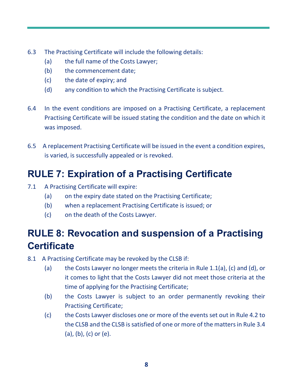- 6.3 The Practising Certificate will include the following details:
	- (a) the full name of the Costs Lawyer;
	- (b) the commencement date;
	- (c) the date of expiry; and
	- (d) any condition to which the Practising Certificate is subject.
- 6.4 In the event conditions are imposed on a Practising Certificate, a replacement Practising Certificate will be issued stating the condition and the date on which it was imposed.
- 6.5 A replacement Practising Certificate will be issued in the event a condition expires, is varied, is successfully appealed or is revoked.

#### **RULE 7: Expiration of a Practising Certificate**

- 7.1 A Practising Certificate will expire:
	- (a) on the expiry date stated on the Practising Certificate;
	- (b) when a replacement Practising Certificate is issued; or
	- (c) on the death of the Costs Lawyer.

# **RULE 8: Revocation and suspension of a Practising Certificate**

- 8.1 A Practising Certificate may be revoked by the CLSB if:
	- (a) the Costs Lawyer no longer meets the criteria in Rule 1.1(a), (c) and (d), or it comes to light that the Costs Lawyer did not meet those criteria at the time of applying for the Practising Certificate;
	- (b) the Costs Lawyer is subject to an order permanently revoking their Practising Certificate;
	- (c) the Costs Lawyer discloses one or more of the events set out in Rule 4.2 to the CLSB and the CLSB is satisfied of one or more of the matters in Rule 3.4 (a), (b), (c) or (e).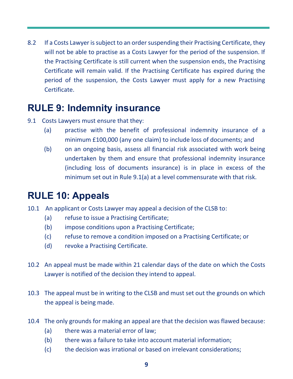8.2 If a Costs Lawyer is subject to an order suspending their Practising Certificate, they will not be able to practise as a Costs Lawyer for the period of the suspension. If the Practising Certificate is still current when the suspension ends, the Practising Certificate will remain valid. If the Practising Certificate has expired during the period of the suspension, the Costs Lawyer must apply for a new Practising Certificate.

#### **RULE 9: Indemnity insurance**

- 9.1 Costs Lawyers must ensure that they:
	- (a) practise with the benefit of professional indemnity insurance of a minimum £100,000 (any one claim) to include loss of documents; and
	- (b) on an ongoing basis, assess all financial risk associated with work being undertaken by them and ensure that professional indemnity insurance (including loss of documents insurance) is in place in excess of the minimum set out in Rule 9.1(a) at a level commensurate with that risk.

#### **RULE 10: Appeals**

- 10.1 An applicant or Costs Lawyer may appeal a decision of the CLSB to:
	- (a) refuse to issue a Practising Certificate;
	- (b) impose conditions upon a Practising Certificate;
	- (c) refuse to remove a condition imposed on a Practising Certificate; or
	- (d) revoke a Practising Certificate.
- 10.2 An appeal must be made within 21 calendar days of the date on which the Costs Lawyer is notified of the decision they intend to appeal.
- 10.3 The appeal must be in writing to the CLSB and must set out the grounds on which the appeal is being made.
- 10.4 The only grounds for making an appeal are that the decision was flawed because:
	- (a) there was a material error of law;
	- (b) there was a failure to take into account material information;
	- (c) the decision was irrational or based on irrelevant considerations;